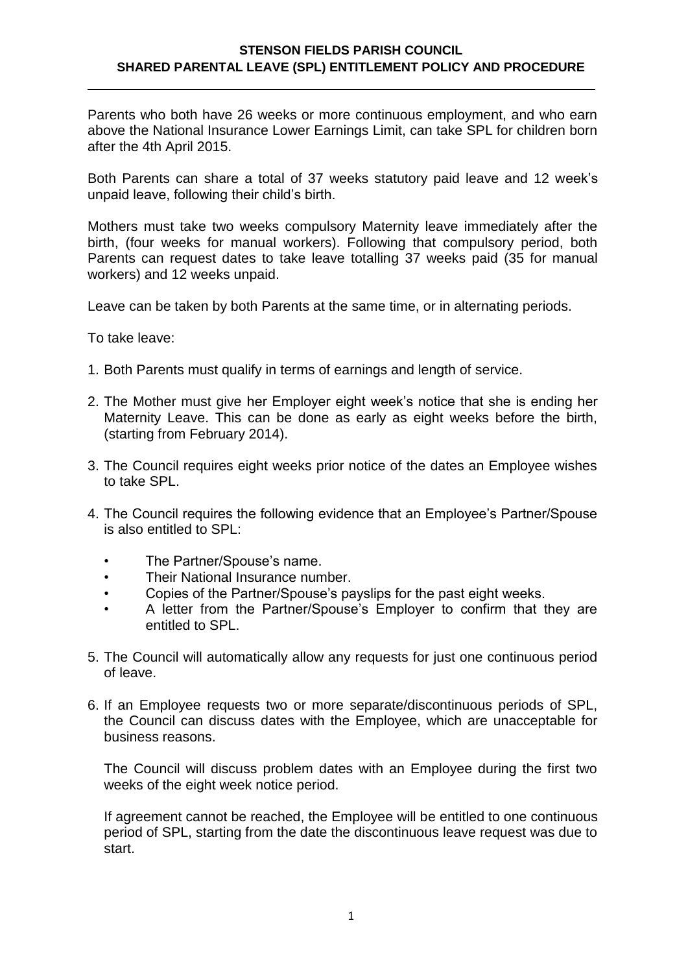## **STENSON FIELDS PARISH COUNCIL SHARED PARENTAL LEAVE (SPL) ENTITLEMENT POLICY AND PROCEDURE**

Parents who both have 26 weeks or more continuous employment, and who earn above the National Insurance Lower Earnings Limit, can take SPL for children born after the 4th April 2015.

Both Parents can share a total of 37 weeks statutory paid leave and 12 week's unpaid leave, following their child's birth.

Mothers must take two weeks compulsory Maternity leave immediately after the birth, (four weeks for manual workers). Following that compulsory period, both Parents can request dates to take leave totalling 37 weeks paid (35 for manual workers) and 12 weeks unpaid.

Leave can be taken by both Parents at the same time, or in alternating periods.

To take leave:

- 1. Both Parents must qualify in terms of earnings and length of service.
- 2. The Mother must give her Employer eight week's notice that she is ending her Maternity Leave. This can be done as early as eight weeks before the birth, (starting from February 2014).
- 3. The Council requires eight weeks prior notice of the dates an Employee wishes to take SPL.
- 4. The Council requires the following evidence that an Employee's Partner/Spouse is also entitled to SPL:
	- The Partner/Spouse's name.
	- Their National Insurance number.
	- Copies of the Partner/Spouse's payslips for the past eight weeks.
	- A letter from the Partner/Spouse's Employer to confirm that they are entitled to SPL.
- 5. The Council will automatically allow any requests for just one continuous period of leave.
- 6. If an Employee requests two or more separate/discontinuous periods of SPL, the Council can discuss dates with the Employee, which are unacceptable for business reasons.

The Council will discuss problem dates with an Employee during the first two weeks of the eight week notice period.

If agreement cannot be reached, the Employee will be entitled to one continuous period of SPL, starting from the date the discontinuous leave request was due to start.